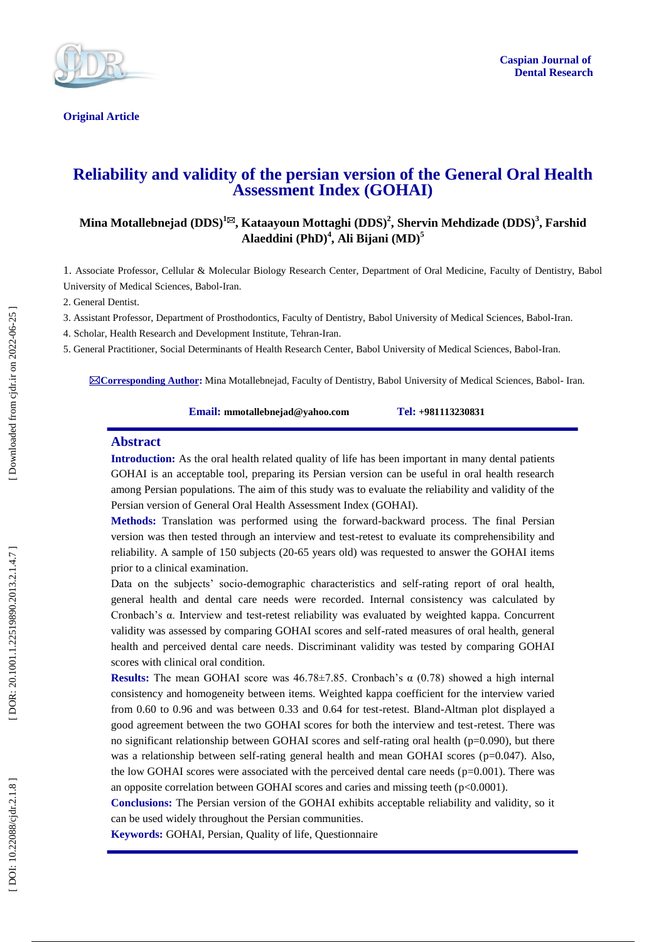

**Original Article** 

# **Reliability and validity of the persian version of the General Oral Health Assessment Index (GOHAI)**

# **Mina Motallebnejad (DDS) 1 , Kataayoun Mottaghi (DDS) 2 , Shervin Mehdizade (DDS) 3 , Farshid Alaeddini (PhD) 4 , Ali Bijani (MD) 5**

1. Associate Professor, Cellular & Molecular Biology Research Center , Department of Oral Medicine, Faculty of Dentistry, Babol University of Medical Sciences, Babol -Iran.

2. General Dentist.

3. Assistant Professor, Department of Prosthodontics, Faculty of Dentistry, Babol University of Medical Sciences, Babol -Iran .

4. Scholar , Health Research and Development Institute, Tehran -Iran .

5. General Practitioner, Social Determinants of Health Research Center, Babol University of Medical Sciences, Babol -Iran.

**Corresponding Author :** Mina Motallebnejad, Faculty of Dentistry, Babol University of Medical Sciences, Babol - Iran.

**Email: mmotallebnejad@yahoo.com Tel: +981113230831**

#### **Abstract**

**Introduction :** As the oral health related quality of life has been important in many dental patients GOHAI is an acceptable tool, preparing its Persian version can be useful in oral health research among Persian populations. The aim of this study was to evaluate the reliability and validity of the Persian version of General Oral Health Assessment Index (GOHAI).

**Methods:** Translation was performed using the forward -backward process. The final Persian version was then tested through an interview and test -retest to evaluate its comprehensibility and reliability. A sample of 150 subjects (20 -65 years old) was requested to answer the GOHAI items prior to a clinical examination.

Data on the subjects' socio -demographic characteristics and self -rating report of oral health, general health and dental care needs were recorded. Internal consistency was calculated by Cronbach's α. Interview and test -retest reliability was evaluated by weighted kappa. Concurrent validity was assessed by comparing GOHAI scores and self -rated measures of oral health, general health and perceived dental care needs. Discriminant validity was tested by comparing GOHAI scores with clinical oral condition.

**Results:** The mean GOHAI score was  $46.78 \pm 7.85$ . Cronbach's  $\alpha$  (0.78) showed a high internal consistency and homogeneity between items. Weighted kappa coefficient for the interview varied from 0.60 to 0.96 and was between 0.33 and 0.64 for test-retest. Bland-Altman plot displayed a good agreement between the two GOHAI scores for both the interview and test -retest. There was no significant relationship between GOHAI scores and self-rating oral health  $(p=0.090)$ , but there was a relationship between self-rating general health and mean GOHAI scores (p=0.047). Also, the low GOHAI scores were associated with the perceived dental care needs  $(p=0.001)$ . There was an opposite correlation between GOHAI scores and caries and missing teeth ( p<0.0001).

**Conclusions:** The Persian version of the GOHAI exhibits acceptable reliability and validity, so it can be used widely throughout the Persian communities.

**Keywords:** GOHAI, Persian, Quality of life, Questionnaire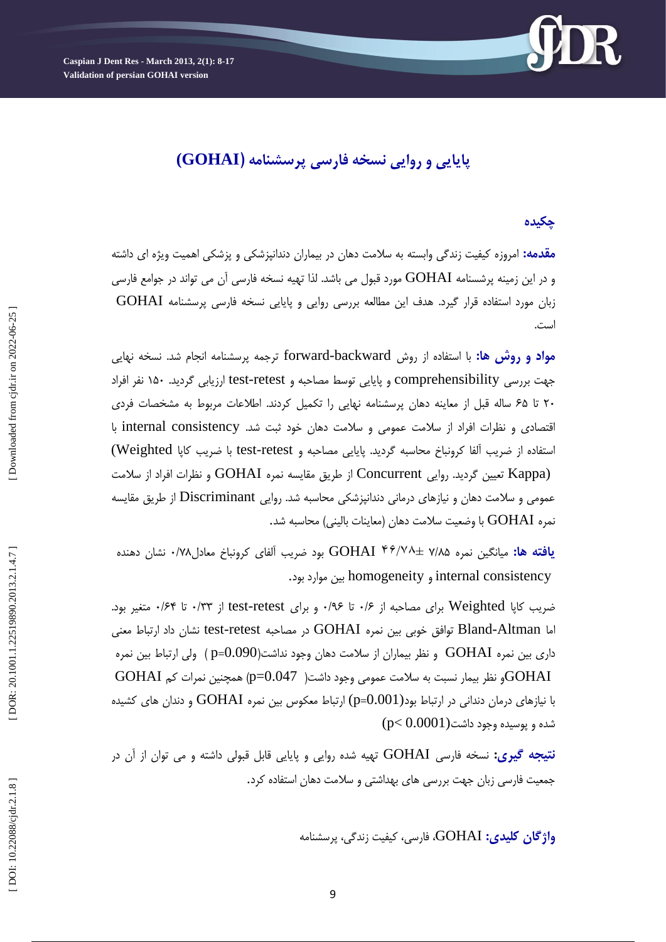**Caspian J Dent Res - March 201 3, 2 ( 1): 8 -17 Validation of persian GOHAI version** 



# **پايايي و روايي نسخه فارسي پرسشنامه )GOHAI(**

# **چكيذه**

**مقدمه:** امروزه کیفیت زندگی وابسته به سلامت دهان در بیماران دندانپزشکی و پزشکی اهمیت ویژه ای داشته و در این زمینه پرشسنامه  $\rm{GOHAI}$  مورد قبول می باشد. لذا تهیه نسخه فارسی آن می تواند در جوامع فارسی زبان مورد استفاده قرار گیرد. هدف این مطالعه بررسی روایی و پایایی نسخه فارسی پرسشنامه GOHAI<br>است.

<mark>مواد و روش ها:</mark> با استفاده از روش forward-backward ترجمه پرسشنامه انجام شد. نسخه نهایی جهت بررسی comprehensibility و پایایی توسط مصاحبه و test-retest ارزیابی گردید. ۱۵۰ نفر افراد ۲۰ تا ۶۵ ساله قبل از معاینه دهان پرسشنامه نهایی را تکمیل کردند. اطلاعات مربوط به مشخصات فردی قتصادی و نظرات افراد از سلامت عمومی و سلامت دهان خود ثبت شد. internal consistency با استفاده از ضریب آلفا کرونباخ محاسبه گردید. پایایی مصاحبه و test-retest با ضریب کاپا Weighted) (Kappa تعیین گردید. روایی Concurrent از طریق مقایسه نمره GOHAI و نظرات افراد از سلامت عمومی و سلامت دهان و نیازهای درمانی دندانپزشکی محاسبه شد. روایی Discriminant از طریق مقایسه<br>نمره GOHAI با وضعیت سلامت دهان (معاینات بالینی) محاسبه شد.

**يافته ها:** ميانگين نمره 7/A\b + GOHAI ۴۶/۷۸ بود ضريب آلفای کرونباخ معادل۷۸/۰ نشان دهنده homogeneity بیه مًارد بًد. ي internal consistency

ضریب کاپا Weighted برای مصاحبه از ۰/۶ تا ۰/۹۶ و برای test-retest از ۰/۳۳ تا ۰/۶۴ متغیر بود. اما Bland-Altman توافق خوبی بین نمره GOHAI در مصاحبه test-retest نشان داد ارتباط معنی داری بین نمره GOHAI و نظر بیماران از سلامت دهان وجود نداشت(p=0.090 ولی ارتباط بین نمره  $\rm \, GOHAI$ و نظر بیمار نسبت به سلامت عمومی وجود داشت(  $-0.047$  ) همچنین نمرات کم $\rm \, GOHAI$ با نیازهای درمان دندانی در ارتباط بود $\rm (p\text{=}0.001)$  ارتباط معکوس بین نمره  $\rm GOHAI$  و دندان های کشیده  ${\rm (p< 0.0001)}$ شده و پوسیده وجود داشت

<mark>نتيجه گيري:</mark> نسخه فارسی GOHAI تهيه شده روايی و پايايی قابل قبولی داشته و می توان از آن در جمعیت فارسی زبان جهت بررسی های بهداشتی و سلامت دهان استفاده کرد.

**واژگان کلیدی: GOHAI،** فارسی، کیفیت زندگی، پرسشنامه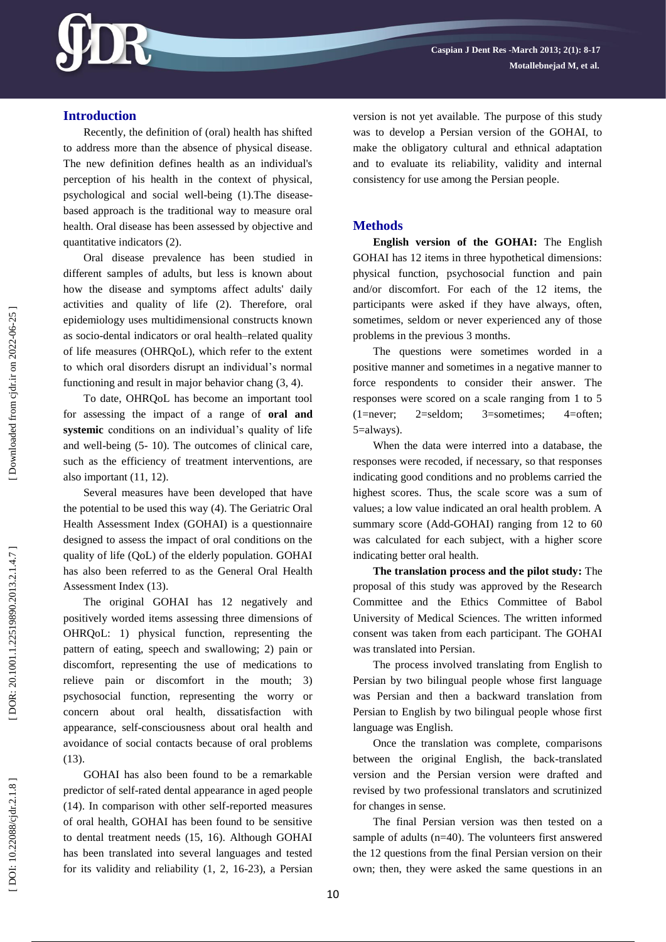

# **Introduction**

Recently, the definition of (oral) health has shifted to address more than the absence of physical disease. The new definition defines health as an individual's perception of his health in the context of physical, psychological and social well -being (1).The disease based approach is the traditional way to measure oral health. Oral disease has been assessed by objective and quantitative indicators (2) .

Oral disease prevalence has been studied in different samples of adults, but less is known about how the disease and symptoms affect adults' daily activities and quality of life (2). Therefore, oral epidemiology uses multidimensional constructs known as socio -dental indicators or oral health –related quality of life measures (OHRQoL), which refer to the extent to which oral disorders disrupt an individual's normal functioning and result in major behavior chang  $(3, 4)$ .

To date, OHRQoL has become an important tool for assessing the impact of a range of **oral and systemic** conditions on an individual's quality of life and well -being (5 - 10). The outcomes of clinical care, such as the efficiency of treatment interventions, are also important (11, 12).

Several measures have been developed that have the potential to be used this way (4). The Geriatric Oral Health Assessment Index (GOHAI) is a questionnaire designed to assess the impact of oral conditions on the quality of life (QoL) of the elderly population. GOHAI has also been referred to as the General Oral Health Assessment Index (13).

The original GOHAI has 12 negatively and positively worded items assessing three dimensions of OHRQoL: 1) physical function, representing the pattern of eating, speech and swallowing; 2) pain or discomfort, representing the use of medications to relieve pain or discomfort in the mouth; 3) psychosocial function, representing the worry or concern about oral health, dissatisfaction with appearance, self-consciousness about oral health and avoidance of social contacts because of oral problems  $(13)$ .

GOHAI has also been found to be a remarkable predictor of self-rated dental appearance in aged people (14). In comparison with other self -reported measures of oral health, GOHAI has been found to be sensitive to dental treatment needs (15, 16). Although GOHAI has been translated into several languages and tested for its validity and reliability (1, 2, 16 -23), a Persian version is not yet available. The purpose of this study was to develop a Persian version of the GOHAI, to make the obligatory cultural and ethnical adaptation and to evaluate its reliability, validity and internal consistency for use among the Persian people.

## **Methods**

**English version of the GOHAI:** The English GOHAI has 12 items in three hypothetical dimensions: physical function, psychosocial function and pain and/or discomfort. For each of the 12 items, the participants were asked if they have always, often, sometimes, seldom or never experienced any of those problems in the previous 3 months.

The questions were sometimes worded in a positive manner and sometimes in a negative manner to force respondents to consider their answer. The responses were scored on a scale ranging from 1 to 5 (1=never; 2=seldom; 3=sometimes; 4=often; 5=always).

When the data were interred into a database, the responses were recoded, if necessary, so that responses indicating good conditions and no problems carried the highest scores. Thus, the scale score was a sum of values; a low value indicated an oral health problem. A summary score (Add -GOHAI) ranging from 12 to 60 was calculated for each subject, with a higher score indicating better oral health.

**The translation process and the pilot study:** The proposal of this study was approved by the Research Committee and the Ethics Committee of Babol University of Medical Sciences. The written informed consent was taken from each participant. The GOHAI was translated into Persian.

The process involved translating from English to Persian by two bilingual people whose first language was Persian and then a backward translation from Persian to English by two bilingual people whose first language was English.

Once the translation was complete, comparisons between the original English, the back -translated version and the Persian version were drafted and revised by two professional translators and scrutinized for changes in sense.

The final Persian version was then tested on a sample of adults (n=40). The volunteers first answered the 12 questions from the final Persian version on their own; then, they were asked the same questions in an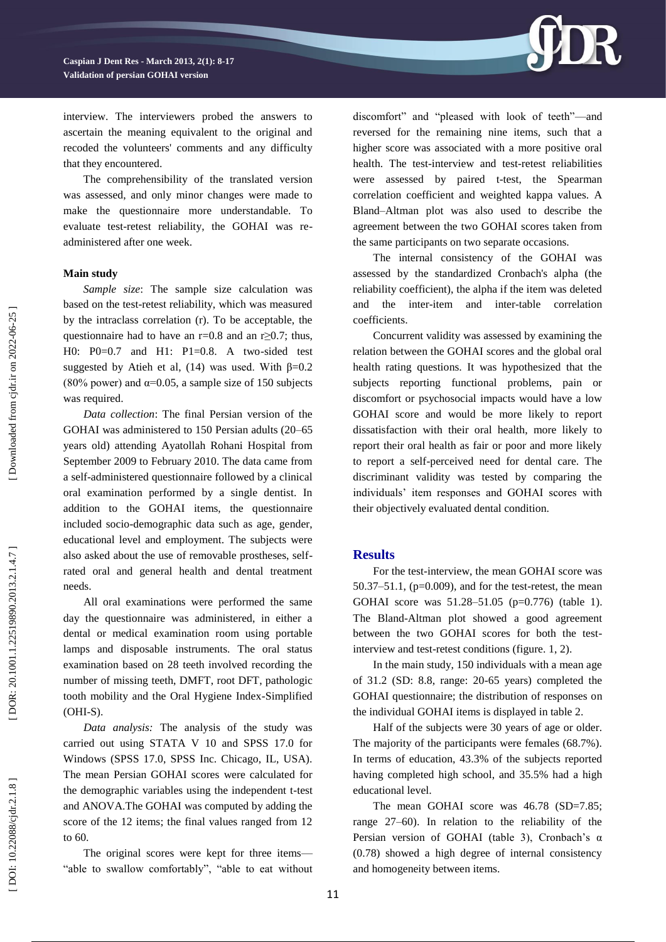

interview. The interviewers probed the answers to ascertain the meaning equivalent to the original and recoded the volunteers' comments and any difficulty that they encountered.

The comprehensibility of the translated version was assessed, and only minor changes were made to make the questionnaire more understandable. To evaluate test-retest reliability, the GOHAI was readministered after one week.

#### **Main study**

*Sample size*: The sample size calculation was based on the test-retest reliability, which was measured by the intraclass correlation (r). To be acceptable, the questionnaire had to have an  $r=0.8$  and an  $r\geq 0.7$ ; thus, H0: P0=0.7 and H1: P1=0.8. A two -sided test suggested by Atieh et al, (14) was used. With  $\beta=0.2$ (80% power) and  $\alpha$ =0.05, a sample size of 150 subjects was required.

*Data collection*: The final Persian version of the GOHAI was administered to 150 Persian adults (20 –65 years old) attending Ayatollah Rohani Hospital from September 2009 to February 2010. The data came from a self-administered questionnaire followed by a clinical oral examination performed by a single dentist. In addition to the GOHAI items, the questionnaire included socio -demographic data such as age, gender, educational level and employment. The subjects were also asked about the use of removable prostheses, self rated oral and general health and dental treatment needs.

All oral examinations were performed the same day the questionnaire was administered, in either a dental or medical examination room using portable lamps and disposable instruments. The oral status examination based on 28 teeth involved recording the number of missing teeth, DMFT, root DFT, pathologic tooth mobility and the Oral Hygiene Index -Simplified (OHI -S).

*Data analysis:* The analysis of the study was carried out using STATA V 10 and SPSS 17.0 for Windows (SPSS 17.0, SPSS Inc. Chicago, IL, USA). The mean Persian GOHAI scores were calculated for the demographic variables using the independent t -test and ANOVA.The GOHAI was computed by adding the score of the 12 items; the final values ranged from 12 to 60.

The original scores were kept for three items — "able to swallow comfortably", "able to eat without discomfort" and "pleased with look of teeth"-and reversed for the remaining nine items, such that a higher score was associated with a more positive oral health. The test -interview and test -retest reliabilities were assessed by paired t -test, the Spearman correlation coefficient and weighted kappa values. A Bland –Altman plot was also used to describe the agreement between the two GOHAI scores taken from the same participants on two separate occasions.

The internal consistency of the GOHAI was assessed by the standardized Cronbach's alpha (the reliability coefficient), the alpha if the item was deleted and the inter -item and inter -table correlation coefficients.

Concurrent validity was assessed by examining the relation between the GOHAI scores and the global oral health rating questions. It was hypothesized that the subjects reporting functional problems, pain or discomfort or psychosocial impacts would have a low GOHAI score and would be more likely to report dissatisfaction with their oral health, more likely to report their oral health as fair or poor and more likely to report a self -perceived need for dental care. The discriminant validity was tested by comparing the individuals' item responses and GOHAI scores with their objectively evaluated dental condition.

#### **Results**

For the test -interview, the mean GOHAI score was 50.37 –51.1, (p=0.009), and for the test -retest, the mean GOHAI score was 51.28-51.05 (p=0.776) (table 1). The Bland -Altman plot showed a good agreement between the two GOHAI scores for both the test interview and test -retest conditions (figure. 1, 2).

In the main study, 150 individuals with a mean age of 31.2 (SD: 8.8, range: 20 -65 years) completed the GOHAI questionnaire; the distribution of responses on the individual GOHAI items is displayed in table 2.

Half of the subjects were 30 years of age or older. The majority of the participants were females (68.7%). In terms of education, 43.3% of the subjects reported having completed high school, and 35.5% had a high educational level.

The mean GOHAI score was 46.78 (SD=7.85; range 27 –60). In relation to the reliability of the Persian version of GOHAI (table 3), Cronbach's α (0.78) showed a high degree of internal consistency and homogeneity between items.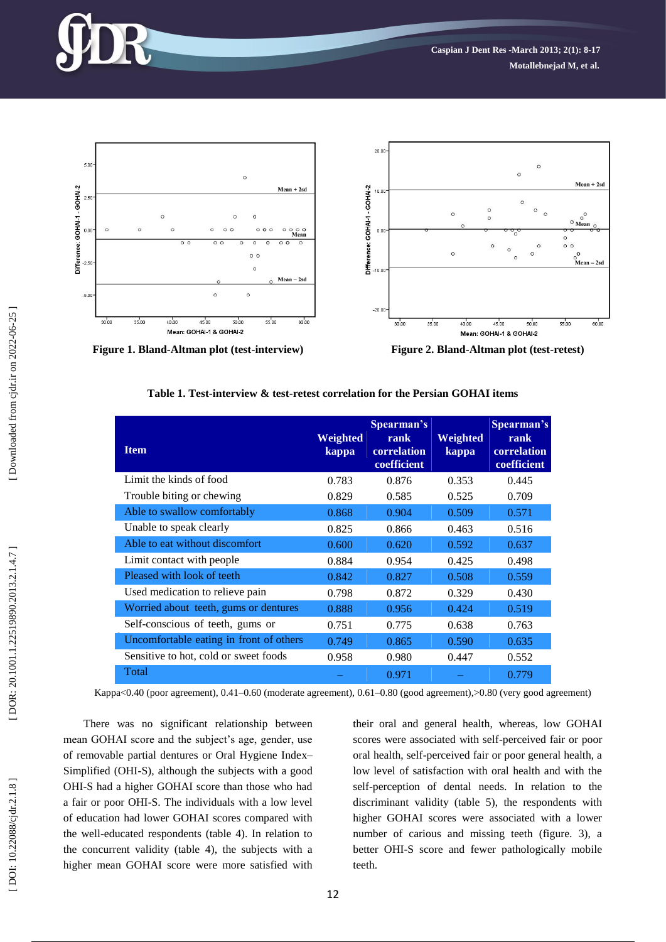





**Figure 2. Bland-Altman plot (test-retest)** 

**Table 1 . Test -interview & tes t -retest correlation for the Persian GOHAI items**

| <b>Item</b>                             | Weighted<br>kappa | Spearman's<br>rank<br>correlation<br>coefficient | Weighted<br>kappa | Spearman's<br>rank<br>correlation<br>coefficient |
|-----------------------------------------|-------------------|--------------------------------------------------|-------------------|--------------------------------------------------|
| Limit the kinds of food                 | 0.783             | 0.876                                            | 0.353             | 0.445                                            |
| Trouble biting or chewing               | 0.829             | 0.585                                            | 0.525             | 0.709                                            |
| Able to swallow comfortably             | 0.868             | 0.904                                            | 0.509             | 0.571                                            |
| Unable to speak clearly                 | 0.825             | 0.866                                            | 0.463             | 0.516                                            |
| Able to eat without discomfort          | 0.600             | 0.620                                            | 0.592             | 0.637                                            |
| Limit contact with people               | 0.884             | 0.954                                            | 0.425             | 0.498                                            |
| Pleased with look of teeth              | 0.842             | 0.827                                            | 0.508             | 0.559                                            |
| Used medication to relieve pain         | 0.798             | 0.872                                            | 0.329             | 0.430                                            |
| Worried about teeth, gums or dentures   | 0.888             | 0.956                                            | 0.424             | 0.519                                            |
| Self-conscious of teeth, gums or        | 0.751             | 0.775                                            | 0.638             | 0.763                                            |
| Uncomfortable eating in front of others | 0.749             | 0.865                                            | 0.590             | 0.635                                            |
| Sensitive to hot, cold or sweet foods   | 0.958             | 0.980                                            | 0.447             | 0.552                                            |
| Total                                   |                   | 0.971                                            |                   | 0.779                                            |

Kappa<0.40 (poor agreement), 0.41–0.60 (moderate agreement), 0.61–0.80 (good agreement),>0.80 (very good agreement)

There was no significant relationship between mean GOHAI score and the subject's age, gender, use of removable partial dentures or Oral Hygiene Inde x – Simplified (OHI -S), although the subjects with a good OHI -S had a higher GOHAI score than those who had a fair or poor OHI -S. The individuals with a low level of education had lower GOHAI scores compared with the well -educated respondents (table 4). In relation to the concurrent validity (table 4), the subjects with a higher mean GOHAI score were more satisfied with

their oral and general health, whereas, low GOHAI scores were associated with self -perceived fair or poor oral health, self -perceived fair or poor general health, a low level of satisfaction with oral health and with the self-perception of dental needs. In relation to the discriminant validity (table 5), the respondents with higher GOHAI scores were associated with a lower number of carious and missing teeth (figure. 3), a better OHI -S score and fewer pathologically mobile teeth.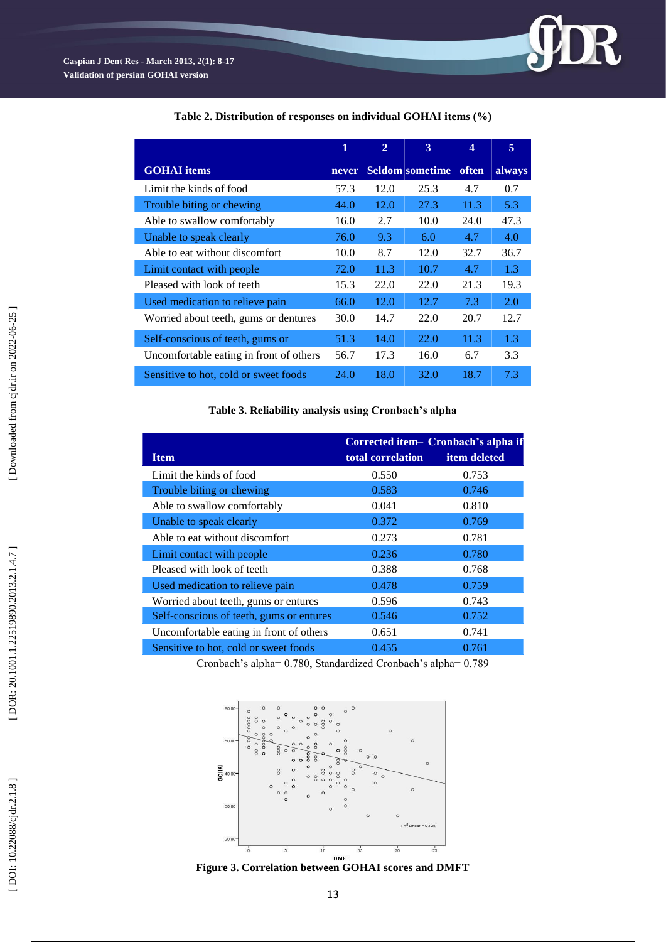

**Table 2. Distribution of responses on individual GOHAI items (%)**

**Table 3. Reliability analysis using Cronbach's alpha**

|                                          |                   | Corrected item- Cronbach's alpha if |
|------------------------------------------|-------------------|-------------------------------------|
| <b>Item</b>                              | total correlation | <i>item deleted</i>                 |
| Limit the kinds of food                  | 0.550             | 0.753                               |
| Trouble biting or chewing                | 0.583             | 0.746                               |
| Able to swallow comfortably              | 0.041             | 0.810                               |
| Unable to speak clearly                  | 0.372             | 0.769                               |
| Able to eat without discomfort           | 0.273             | 0.781                               |
| Limit contact with people                | 0.236             | 0.780                               |
| Pleased with look of teeth               | 0.388             | 0.768                               |
| Used medication to relieve pain          | 0.478             | 0.759                               |
| Worried about teeth, gums or entures     | 0.596             | 0.743                               |
| Self-conscious of teeth, gums or entures | 0.546             | 0.752                               |
| Uncomfortable eating in front of others  | 0.651             | 0.741                               |
| Sensitive to hot, cold or sweet foods    | 0.455             | 0.761                               |

Cronbach's alpha= 0.780, Standardized Cronbach's alpha= 0.789



**Figure 3. Correlation between GOHAI scores and DMFT**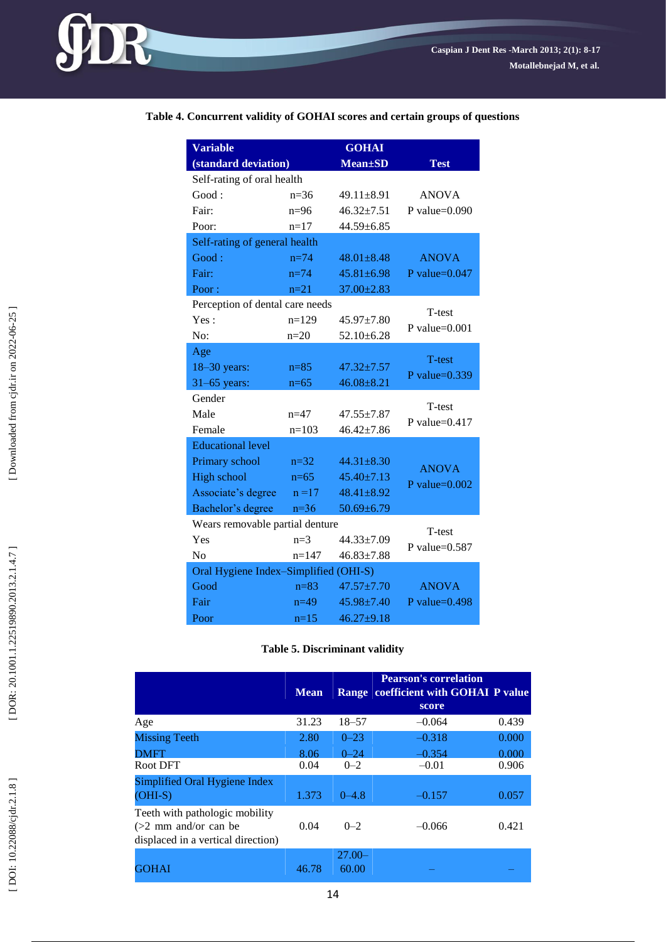## **Table 4. Concurrent validity of GOHAI scores and certain groups of questions**

| <b>Variable</b>                       |           | <b>GOHAI</b>     |                  |  |  |  |
|---------------------------------------|-----------|------------------|------------------|--|--|--|
| (standard deviation)                  |           | <b>Mean</b> ±SD  | <b>Test</b>      |  |  |  |
| Self-rating of oral health            |           |                  |                  |  |  |  |
| Good:                                 | $n=36$    | $49.11 \pm 8.91$ | <b>ANOVA</b>     |  |  |  |
| Fair:                                 | $n=96$    | $46.32 \pm 7.51$ | P value= $0.090$ |  |  |  |
| Poor:                                 | $n=17$    | 44.59±6.85       |                  |  |  |  |
| Self-rating of general health         |           |                  |                  |  |  |  |
| Good:                                 | $n = 74$  | $48.01 \pm 8.48$ | <b>ANOVA</b>     |  |  |  |
| Fair:                                 | $n=74$    | $45.81 \pm 6.98$ | P value= $0.047$ |  |  |  |
| Poor:                                 | $n=21$    | $37.00 \pm 2.83$ |                  |  |  |  |
| Perception of dental care needs       |           |                  | T-test           |  |  |  |
| Yes:                                  | $n=129$   | $45.97 \pm 7.80$ | P value= $0.001$ |  |  |  |
| No:                                   | $n=20$    | $52.10 \pm 6.28$ |                  |  |  |  |
| Age                                   |           |                  | T-test           |  |  |  |
| 18-30 years:                          | $n = 85$  | $47.32 \pm 7.57$ | P value= $0.339$ |  |  |  |
| $31-65$ years:                        | $n=65$    | $46.08 \pm 8.21$ |                  |  |  |  |
| Gender                                |           |                  | T-test           |  |  |  |
| Male                                  | $n = 47$  | $47.55 \pm 7.87$ | P value= $0.417$ |  |  |  |
| Female                                | $n=103$   | $46.42 \pm 7.86$ |                  |  |  |  |
| <b>Educational level</b>              |           |                  |                  |  |  |  |
| Primary school                        | $n=32$    | $44.31 \pm 8.30$ | <b>ANOVA</b>     |  |  |  |
| <b>High school</b>                    | $n=65$    | $45.40 \pm 7.13$ | P value= $0.002$ |  |  |  |
| Associate's degree                    | $n = 17$  | $48.41 \pm 8.92$ |                  |  |  |  |
| Bachelor's degree                     | $n=36$    | $50.69 \pm 6.79$ |                  |  |  |  |
| Wears removable partial denture       |           |                  | T-test           |  |  |  |
| Yes                                   | $n=3$     | 44.33±7.09       | P value= $0.587$ |  |  |  |
| No                                    | $n = 147$ | $46.83 \pm 7.88$ |                  |  |  |  |
| Oral Hygiene Index-Simplified (OHI-S) |           |                  |                  |  |  |  |
| Good                                  | $n = 83$  | $47.57 \pm 7.70$ | <b>ANOVA</b>     |  |  |  |
| Fair                                  | $n=49$    | 45.98±7.40       | P value= $0.498$ |  |  |  |
| Poor                                  | $n=15$    | $46.27 + 9.18$   |                  |  |  |  |

#### **Table 5. Discriminant validity**

|                                                                                                | <b>Mean</b> |                    | <b>Pearson's correlation</b><br>Range coefficient with GOHAI P value<br>score |       |
|------------------------------------------------------------------------------------------------|-------------|--------------------|-------------------------------------------------------------------------------|-------|
| Age                                                                                            | 31.23       | $18 - 57$          | $-0.064$                                                                      | 0.439 |
| <b>Missing Teeth</b>                                                                           | 2.80        | $0 - 23$           | $-0.318$                                                                      | 0.000 |
| DMFT                                                                                           | 8.06        | $0 - 24$           | $-0.354$                                                                      | 0.000 |
| Root DFT                                                                                       | 0.04        | $0 - 2$            | $-0.01$                                                                       | 0.906 |
| Simplified Oral Hygiene Index<br>$(OHI-S)$                                                     | 1.373       | $0 - 4.8$          | $-0.157$                                                                      | 0.057 |
| Teeth with pathologic mobility<br>$(>2$ mm and/or can be<br>displaced in a vertical direction) | 0.04        | $0 - 2$            | $-0.066$                                                                      | 0.421 |
| GOHAI                                                                                          | 46.78       | $27.00 -$<br>60.00 |                                                                               |       |

**JDR**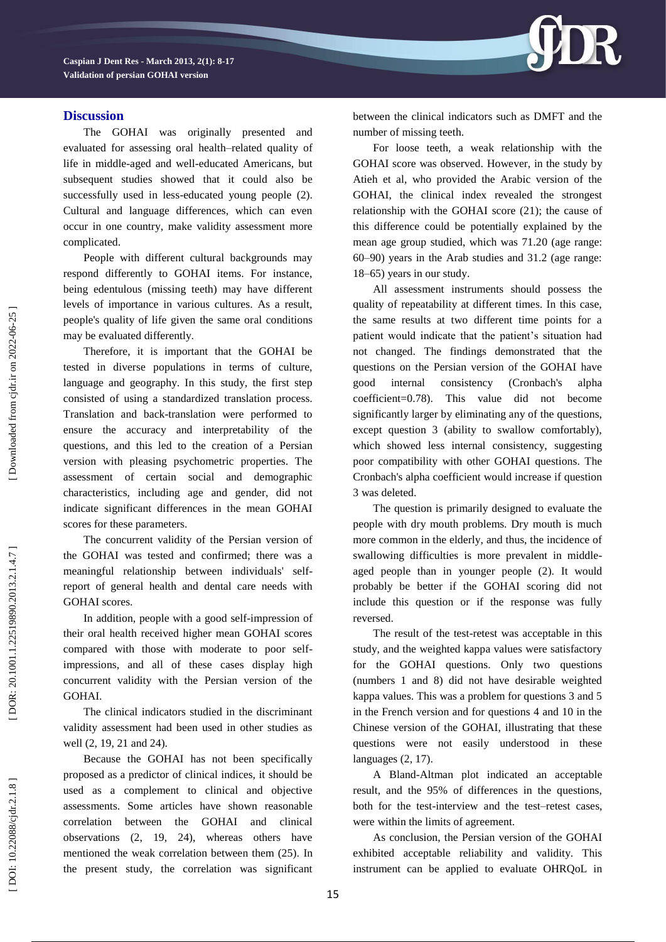

## **Discussion**

The GOHAI was originally presented and evaluated for assessing oral health –related quality of life in middle -aged and well -educated Americans, but subsequent studies showed that it could also be successfully used in less -educated young people (2). Cultural and language differences, which can even occur in one country, make validity assessment more complicated.

People with different cultural backgrounds may respond differently to GOHAI items. For instance, being edentulous (missing teeth) may have different levels of importance in various cultures. As a result, people's quality of life given the same oral conditions may be evaluated differently.

Therefore, it is important that the GOHAI be tested in diverse populations in terms of culture, language and geography. In this study, the first step consisted of using a standardized translation process. Translation and back -translation were performed to ensure the accuracy and interpretability of the questions, and this led to the creation of a Persian version with pleasing psychometric properties. The assessment of certain social and demographic characteristics, including age and gender, did not indicate significant differences in the mean GOHAI scores for these parameters.

The concurrent validity of the Persian version of the GOHAI was tested and confirmed; there was a meaningful relationship between individuals' selfreport of general health and dental care needs with GOHAI scores.

In addition, people with a good self -impression of their oral health received higher mean GOHAI scores compared with those with moderate to poor self impressions, and all of these cases display high concurrent validity with the Persian version of the GOHAI.

The clinical indicators studied in the discriminant validity assessment had been used in other studies as well (2, 19, 21 and 24).

Because the GOHAI has not been specifically proposed as a predictor of clinical indices, it should be used as a complement to clinical and objective assessments. Some articles have shown reasonable correlation between the GOHAI and clinical observations (2, 19, 24), whereas others have mentioned the weak correlation between them (25). In the present study, the correlation was significant between the clinical indicators such as DMFT and the number of missing teeth.

For loose teeth, a weak relationship with the GOHAI score was observed. However, in the study by Atieh et al, who provided the Arabic version of the GOHAI, the clinical index revealed the strongest relationship with the GOHAI score (2 1); the cause of this difference could be potentially explained by the mean age group studied, which was 71.20 (age range: 60 –90) years in the Arab studies and 31.2 (age range: 18 –65) years in our study.

All assessment instruments should possess the quality of repeatability at different times. In this case, the same results at two different time points for a patient would indicate that the patient's situation had not changed. The findings demonstrated that the questions on the Persian version of the GOHAI have good internal consistency (Cronbach's alpha coefficient=0.78). This value did not become significantly larger by eliminating any of the questions. except question 3 (ability to swallow comfortably), which showed less internal consistency, suggesting poor compatibility with other GOHAI questions. The Cronbach's alpha coefficient would increase if question 3 was deleted.

The question is primarily designed to evaluate the people with dry mouth problems. Dry mouth is much more common in the elderly, and thus, the incidence of swallowing difficulties is more prevalent in middle aged people than in younger people (2). It would probably be better if the GOHAI scoring did not include this question or if the response was fully reversed.

The result of the test-retest was acceptable in this study, and the weighted kappa values were satisfactory for the GOHAI questions. Only two questions (numbers 1 and 8) did not have desirable weighted kappa values. This was a problem for questions 3 and 5 in the French version and for questions 4 and 10 in the Chinese version of the GOHAI, illustrating that these questions were not easily understood in these languages (2, 17).

A Bland -Altman plot indicated an acceptable result, and the 95% of differences in the questions, both for the test-interview and the test-retest cases, were within the limits of agreement.

As conclusion, the Persian version of the GOHAI exhibited acceptable reliability and validity. This instrument can be applied to evaluate OHRQoL in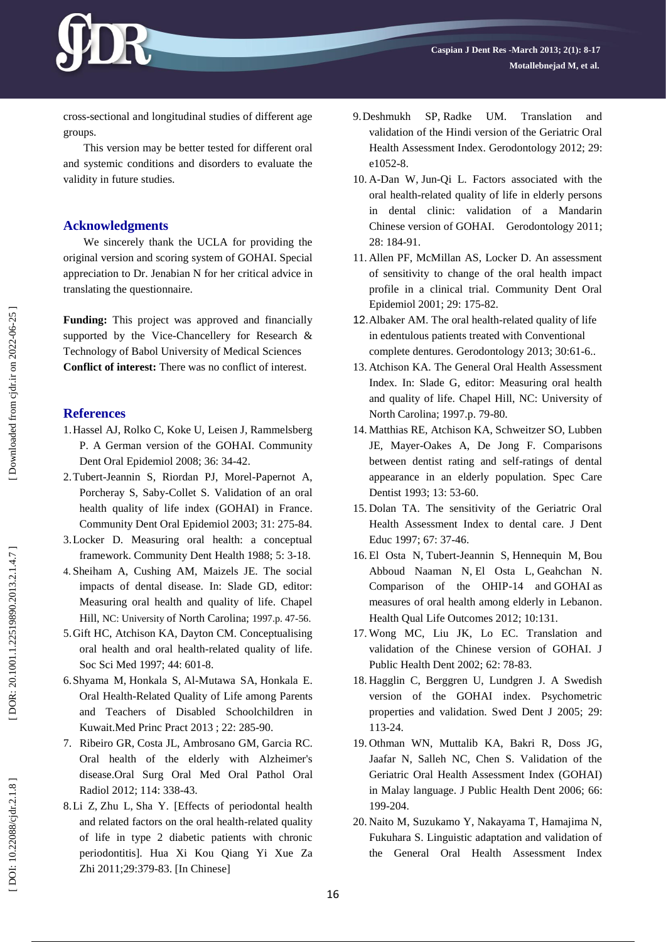

cross -sectional and longitudinal studies of different age groups.

This version may be better tested for different oral and systemic conditions and disorders to evaluate the validity in future studies.

## **Acknowledgments**

We sincerely thank the UCLA for providing the original version and scoring system of GOHAI. Special appreciation to Dr. Jenabian N for her critical advice in translating the questionnaire.

**Funding:** This project was approved and financially supported by the Vice -Chancellery for Research & Technology of Babol University of Medical Sciences **Conflict of interest:** There was no conflict of interest.

## **References**

- 1.Hassel AJ, Rolko C, Koke U, Leisen J, Rammelsberg P. A German version of the GOHAI. Community Dent Oral Epidemiol 2008; 36: 34 -42.
- 2 .Tubert -Jeannin S, Riordan PJ, Morel -Papernot A, Porcheray S, Saby -Collet S. Validation of an oral health quality of life index (GOHAI) in France. Community Dent Oral Epidemiol 2003; 31: 275 -84.
- 3 .Locker D. Measuring oral health: a conceptual framework. Community Dent Health 1988; 5: 3-18.
- 4 . Sheiham A, Cushing AM, Maizels JE. The social impacts of dental disease. In: Slade GD, editor: Measuring oral health and quality of life. Chapel Hill, NC: University of North Carolina; 1997.p. 47 -56.
- 5 .Gift HC, Atchison KA, Dayton CM. Conceptualising oral health and oral health -related quality of life. Soc Sci Med 1997; 44: 601 -8.
- 6 [.Shyama](http://www.ncbi.nlm.nih.gov/pubmed?term=Shyama%20M%5BAuthor%5D&cauthor=true&cauthor_uid=23171756) M , [Honkala](http://www.ncbi.nlm.nih.gov/pubmed?term=Honkala%20S%5BAuthor%5D&cauthor=true&cauthor_uid=23171756) S , Al [-Mutawa](http://www.ncbi.nlm.nih.gov/pubmed?term=Al-Mutawa%20SA%5BAuthor%5D&cauthor=true&cauthor_uid=23171756) SA , [Honkala](http://www.ncbi.nlm.nih.gov/pubmed?term=Honkala%20E%5BAuthor%5D&cauthor=true&cauthor_uid=23171756) E. Oral Health -Related Quality of Life among Parents and Teachers of Disabled Schoolchildren in Kuwait .Med [Princ](http://www.ncbi.nlm.nih.gov/pubmed/23171756) Pract 2013 ; 22: 285 -90.
- 7 . [Ribeiro](http://www.ncbi.nlm.nih.gov/pubmed?term=Ribeiro%20GR%5BAuthor%5D&cauthor=true&cauthor_uid=22862974) GR , [Costa](http://www.ncbi.nlm.nih.gov/pubmed?term=Costa%20JL%5BAuthor%5D&cauthor=true&cauthor_uid=22862974) JL , [Ambrosano](http://www.ncbi.nlm.nih.gov/pubmed?term=Ambrosano%20GM%5BAuthor%5D&cauthor=true&cauthor_uid=22862974) GM , [Garcia](http://www.ncbi.nlm.nih.gov/pubmed?term=Garcia%20RC%5BAuthor%5D&cauthor=true&cauthor_uid=22862974) RC . Oral health of the elderly with Alzheimer's disease.Oral Surg Oral Med Oral [Pathol](http://www.ncbi.nlm.nih.gov/pubmed/22862974) Oral [Radiol](http://www.ncbi.nlm.nih.gov/pubmed/22862974) 2012; 114: 338 -43.
- 8 [.Li](http://www.ncbi.nlm.nih.gov/pubmed?term=Li%20Z%5BAuthor%5D&cauthor=true&cauthor_uid=21932658) Z , [Zhu](http://www.ncbi.nlm.nih.gov/pubmed?term=Zhu%20L%5BAuthor%5D&cauthor=true&cauthor_uid=21932658) L , [Sha](http://www.ncbi.nlm.nih.gov/pubmed?term=Sha%20Y%5BAuthor%5D&cauthor=true&cauthor_uid=21932658) Y . [Effects of periodontal health and related factors on the oral health -related quality of life in type 2 diabetic patients with chronic periodontitis]. Hua Xi Kou [Qiang](http://www.ncbi.nlm.nih.gov/pubmed/22369662) Yi Xue Za [Zhi](http://www.ncbi.nlm.nih.gov/pubmed/22369662) 2011;29:379-83. [In Chinese]
- 9 [.Deshmukh](http://www.ncbi.nlm.nih.gov/pubmed?term=Deshmukh%20SP%5BAuthor%5D&cauthor=true&cauthor_uid=22229754) SP , [Radke](http://www.ncbi.nlm.nih.gov/pubmed?term=Radke%20UM%5BAuthor%5D&cauthor=true&cauthor_uid=22229754) UM UM. Translation and validation of the Hindi version of the Geriatric Oral Health Assessment Index . [Gerodontology](http://www.ncbi.nlm.nih.gov/pubmed/22229754) 2012; 29: e1052 -8.
- 10 . A [-Dan](http://www.ncbi.nlm.nih.gov/pubmed?term=A-Dan%20W%5BAuthor%5D&cauthor=true&cauthor_uid=21692833) W , [Jun](http://www.ncbi.nlm.nih.gov/pubmed?term=Jun-Qi%20L%5BAuthor%5D&cauthor=true&cauthor_uid=21692833) -Qi L. Factors associated with the oral health -related quality of life in elderly persons in dental clinic: validation of a Mandarin Chinese version of GOHAI . [Gerodontology](http://www.ncbi.nlm.nih.gov/pubmed/21692833) 2011; 28: 184 -91.
- 11 . Allen PF, McMillan AS, Locker D. An assessment of sensitivity to change of the oral health impact profile in a clinical trial. Community Dent Oral Epidemiol 2001; 29: 175 -82.
- 12 .Albaker AM. The oral health -related quality of life in edentulous patients treated with Conventional complete dentures. Gerodontology 2013; 30:61-6..
- 13 . Atchison KA. The General Oral Health Assessment Index. In: Slade G, editor: Measuring oral health and quality of life. Chapel Hill, NC: University of North Carolina; 1997.p. 79 -80.
- 14 . Matthias RE, Atchison KA, Schweitzer SO, Lubben JE, Mayer -Oakes A, De Jong F. Comparisons between dentist rating and self -ratings of dental appearance in an elderly population. Spec Care Dentist 1993; 13: 53 -60.
- 15 . Dolan TA. The sensitivity of the Geriatric Oral Health Assessment Index to dental care. J Dent Educ 1997; 67: 37 -46.
- 16. El [Osta](http://www.ncbi.nlm.nih.gov/pubmed?term=El%20Osta%20N%5BAuthor%5D&cauthor=true&cauthor_uid=23110518) N, Tubert[-Jeannin](http://www.ncbi.nlm.nih.gov/pubmed?term=Tubert-Jeannin%20S%5BAuthor%5D&cauthor=true&cauthor_uid=23110518) S, [Hennequin](http://www.ncbi.nlm.nih.gov/pubmed?term=Hennequin%20M%5BAuthor%5D&cauthor=true&cauthor_uid=23110518) M, [Bou](http://www.ncbi.nlm.nih.gov/pubmed?term=Bou%20Abboud%20Naaman%20N%5BAuthor%5D&cauthor=true&cauthor_uid=23110518) Abboud [Naaman](http://www.ncbi.nlm.nih.gov/pubmed?term=Bou%20Abboud%20Naaman%20N%5BAuthor%5D&cauthor=true&cauthor_uid=23110518) N , El [Osta](http://www.ncbi.nlm.nih.gov/pubmed?term=El%20Osta%20L%5BAuthor%5D&cauthor=true&cauthor_uid=23110518) L , [Geahchan](http://www.ncbi.nlm.nih.gov/pubmed?term=Geahchan%20N%5BAuthor%5D&cauthor=true&cauthor_uid=23110518) N . Comparison of the OHIP -14 and GOHAI as measures of oral health among elderly in Lebanon . Health Qual Life [Outcomes](http://www.ncbi.nlm.nih.gov/pubmed/23110518) 2012; 10:131.
- 17 . Wong MC, Liu JK, Lo EC. Translation and validation of the Chinese version of GOHAI. J Public Health Dent 2002; 62: 78 -83.
- 18 . Hagglin C, Berggren U, Lundgren J. A Swedish version of the GOHAI index. Psychometric properties and validation. Swed Dent J 2005; 29: 113 -24.
- 19 . Othman WN, Muttalib KA, Bakri R, Doss JG, Jaafar N, Salleh NC, Chen S. Validation of the Geriatric Oral Health Assessment Index (GOHAI) in Malay language. J Public Health Dent 2006; 66: 199 -204.
- 20 . Naito M, Suzukamo Y, Nakayama T, Hamajima N, Fukuhara S. Linguistic adaptation and validation of the General Oral Health Assessment Index